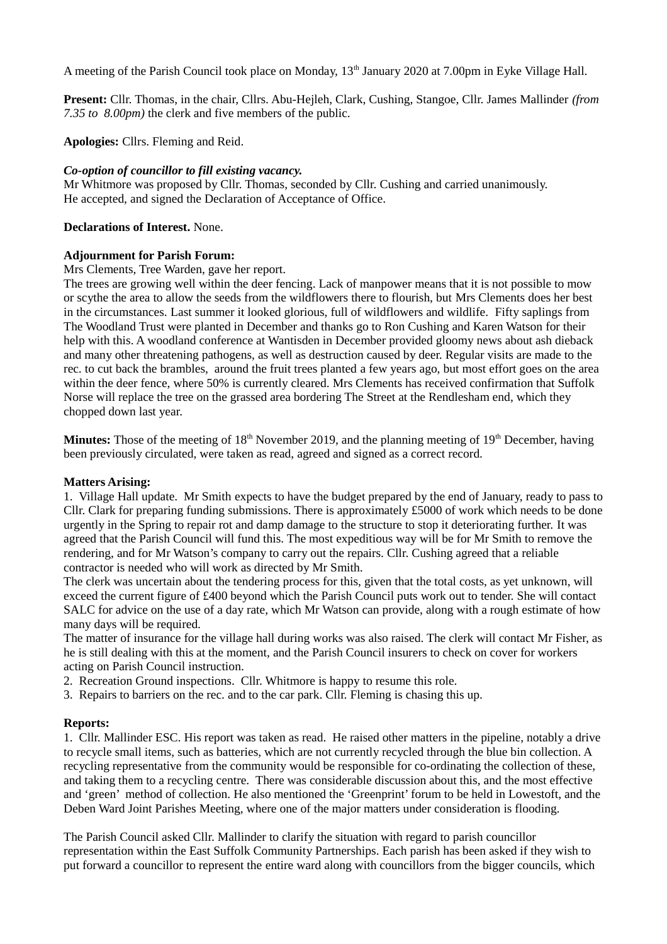A meeting of the Parish Council took place on Monday, 13<sup>th</sup> January 2020 at 7.00pm in Eyke Village Hall.

**Present:** Cllr. Thomas, in the chair, Cllrs. Abu-Hejleh, Clark, Cushing, Stangoe, Cllr. James Mallinder *(from 7.35 to 8.00pm)* the clerk and five members of the public.

**Apologies:** Cllrs. Fleming and Reid.

### *Co-option of councillor to fill existing vacancy.*

Mr Whitmore was proposed by Cllr. Thomas, seconded by Cllr. Cushing and carried unanimously. He accepted, and signed the Declaration of Acceptance of Office.

### **Declarations of Interest.** None.

#### **Adjournment for Parish Forum:**

Mrs Clements, Tree Warden, gave her report.

The trees are growing well within the deer fencing. Lack of manpower means that it is not possible to mow or scythe the area to allow the seeds from the wildflowers there to flourish, but Mrs Clements does her best in the circumstances. Last summer it looked glorious, full of wildflowers and wildlife. Fifty saplings from The Woodland Trust were planted in December and thanks go to Ron Cushing and Karen Watson for their help with this. A woodland conference at Wantisden in December provided gloomy news about ash dieback and many other threatening pathogens, as well as destruction caused by deer. Regular visits are made to the rec. to cut back the brambles, around the fruit trees planted a few years ago, but most effort goes on the area within the deer fence, where 50% is currently cleared. Mrs Clements has received confirmation that Suffolk Norse will replace the tree on the grassed area bordering The Street at the Rendlesham end, which they chopped down last year.

**Minutes:** Those of the meeting of 18<sup>th</sup> November 2019, and the planning meeting of 19<sup>th</sup> December, having been previously circulated, were taken as read, agreed and signed as a correct record.

#### **Matters Arising:**

1. Village Hall update. Mr Smith expects to have the budget prepared by the end of January, ready to pass to Cllr. Clark for preparing funding submissions. There is approximately £5000 of work which needs to be done urgently in the Spring to repair rot and damp damage to the structure to stop it deteriorating further. It was agreed that the Parish Council will fund this. The most expeditious way will be for Mr Smith to remove the rendering, and for Mr Watson's company to carry out the repairs. Cllr. Cushing agreed that a reliable contractor is needed who will work as directed by Mr Smith.

The clerk was uncertain about the tendering process for this, given that the total costs, as yet unknown, will exceed the current figure of £400 beyond which the Parish Council puts work out to tender. She will contact SALC for advice on the use of a day rate, which Mr Watson can provide, along with a rough estimate of how many days will be required.

The matter of insurance for the village hall during works was also raised. The clerk will contact Mr Fisher, as he is still dealing with this at the moment, and the Parish Council insurers to check on cover for workers acting on Parish Council instruction.

- 2. Recreation Ground inspections. Cllr. Whitmore is happy to resume this role.
- 3. Repairs to barriers on the rec. and to the car park. Cllr. Fleming is chasing this up.

#### **Reports:**

1. Cllr. Mallinder ESC. His report was taken as read. He raised other matters in the pipeline, notably a drive to recycle small items, such as batteries, which are not currently recycled through the blue bin collection. A recycling representative from the community would be responsible for co-ordinating the collection of these, and taking them to a recycling centre. There was considerable discussion about this, and the most effective and 'green' method of collection. He also mentioned the 'Greenprint' forum to be held in Lowestoft, and the Deben Ward Joint Parishes Meeting, where one of the major matters under consideration is flooding.

The Parish Council asked Cllr. Mallinder to clarify the situation with regard to parish councillor representation within the East Suffolk Community Partnerships. Each parish has been asked if they wish to put forward a councillor to represent the entire ward along with councillors from the bigger councils, which